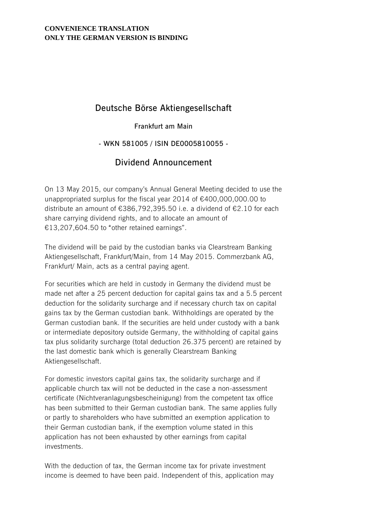#### **CONVENIENCE TRANSLATION ONLY THE GERMAN VERSION IS BINDING**

## **Deutsche Börse Aktiengesellschaft**

#### **Frankfurt am Main**

### **- WKN 581005 / ISIN DE0005810055 -**

# **Dividend Announcement**

On 13 May 2015, our company's Annual General Meeting decided to use the unappropriated surplus for the fiscal year 2014 of €400,000,000.00 to distribute an amount of €386,792,395.50 i.e. a dividend of €2.10 for each share carrying dividend rights, and to allocate an amount of €13,207,604.50 to "other retained earnings".

The dividend will be paid by the custodian banks via Clearstream Banking Aktiengesellschaft, Frankfurt/Main, from 14 May 2015. Commerzbank AG, Frankfurt/ Main, acts as a central paying agent.

For securities which are held in custody in Germany the dividend must be made net after a 25 percent deduction for capital gains tax and a 5.5 percent deduction for the solidarity surcharge and if necessary church tax on capital gains tax by the German custodian bank. Withholdings are operated by the German custodian bank. If the securities are held under custody with a bank or intermediate depository outside Germany, the withholding of capital gains tax plus solidarity surcharge (total deduction 26.375 percent) are retained by the last domestic bank which is generally Clearstream Banking Aktiengesellschaft.

For domestic investors capital gains tax, the solidarity surcharge and if applicable church tax will not be deducted in the case a non-assessment certificate (Nichtveranlagungsbescheinigung) from the competent tax office has been submitted to their German custodian bank. The same applies fully or partly to shareholders who have submitted an exemption application to their German custodian bank, if the exemption volume stated in this application has not been exhausted by other earnings from capital investments.

With the deduction of tax, the German income tax for private investment income is deemed to have been paid. Independent of this, application may